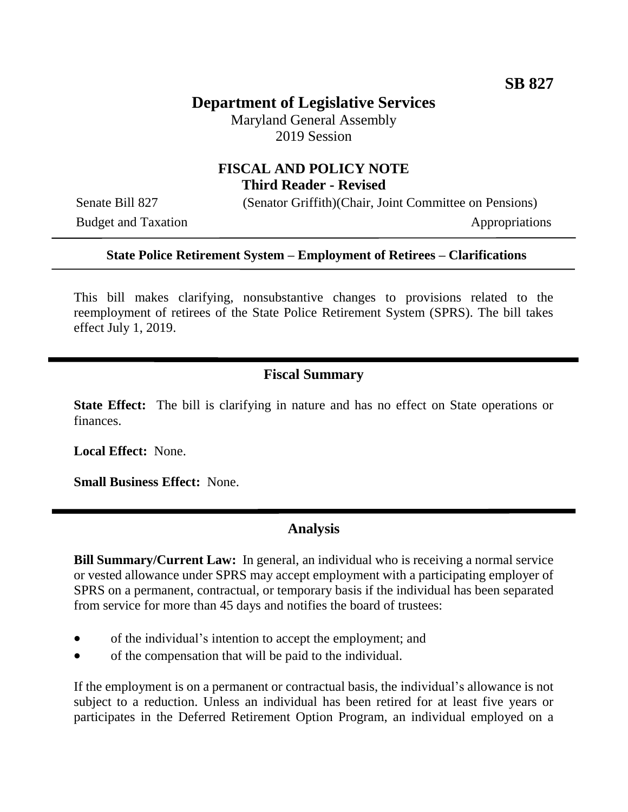# **Department of Legislative Services**

Maryland General Assembly 2019 Session

## **FISCAL AND POLICY NOTE Third Reader - Revised**

Budget and Taxation Appropriations

Senate Bill 827 (Senator Griffith)(Chair, Joint Committee on Pensions)

#### **State Police Retirement System – Employment of Retirees – Clarifications**

This bill makes clarifying, nonsubstantive changes to provisions related to the reemployment of retirees of the State Police Retirement System (SPRS). The bill takes effect July 1, 2019.

### **Fiscal Summary**

**State Effect:** The bill is clarifying in nature and has no effect on State operations or finances.

**Local Effect:** None.

**Small Business Effect:** None.

#### **Analysis**

**Bill Summary/Current Law:** In general, an individual who is receiving a normal service or vested allowance under SPRS may accept employment with a participating employer of SPRS on a permanent, contractual, or temporary basis if the individual has been separated from service for more than 45 days and notifies the board of trustees:

- of the individual's intention to accept the employment; and
- of the compensation that will be paid to the individual.

If the employment is on a permanent or contractual basis, the individual's allowance is not subject to a reduction. Unless an individual has been retired for at least five years or participates in the Deferred Retirement Option Program, an individual employed on a